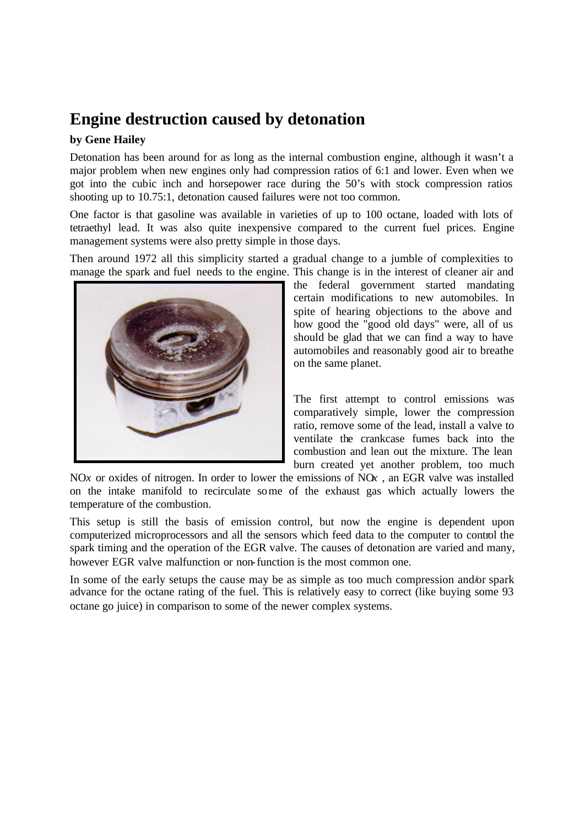## **Engine destruction caused by detonation**

## **by Gene Hailey**

Detonation has been around for as long as the internal combustion engine, although it wasn't a major problem when new engines only had compression ratios of 6:1 and lower. Even when we got into the cubic inch and horsepower race during the 50's with stock compression ratios shooting up to 10.75:1, detonation caused failures were not too common.

One factor is that gasoline was available in varieties of up to 100 octane, loaded with lots of tetraethyl lead. It was also quite inexpensive compared to the current fuel prices. Engine management systems were also pretty simple in those days.

Then around 1972 all this simplicity started a gradual change to a jumble of complexities to manage the spark and fuel needs to the engine. This change is in the interest of cleaner air and



the federal government started mandating certain modifications to new automobiles. In spite of hearing objections to the above and how good the "good old days" were, all of us should be glad that we can find a way to have automobiles and reasonably good air to breathe on the same planet.

The first attempt to control emissions was comparatively simple, lower the compression ratio, remove some of the lead, install a valve to ventilate the crankcase fumes back into the combustion and lean out the mixture. The lean burn created yet another problem, too much

NO*x* or oxides of nitrogen. In order to lower the emissions of NO*x* , an EGR valve was installed on the intake manifold to recirculate some of the exhaust gas which actually lowers the temperature of the combustion.

This setup is still the basis of emission control, but now the engine is dependent upon computerized microprocessors and all the sensors which feed data to the computer to control the spark timing and the operation of the EGR valve. The causes of detonation are varied and many, however EGR valve malfunction or non-function is the most common one.

In some of the early setups the cause may be as simple as too much compression and/or spark advance for the octane rating of the fuel. This is relatively easy to correct (like buying some 93 octane go juice) in comparison to some of the newer complex systems.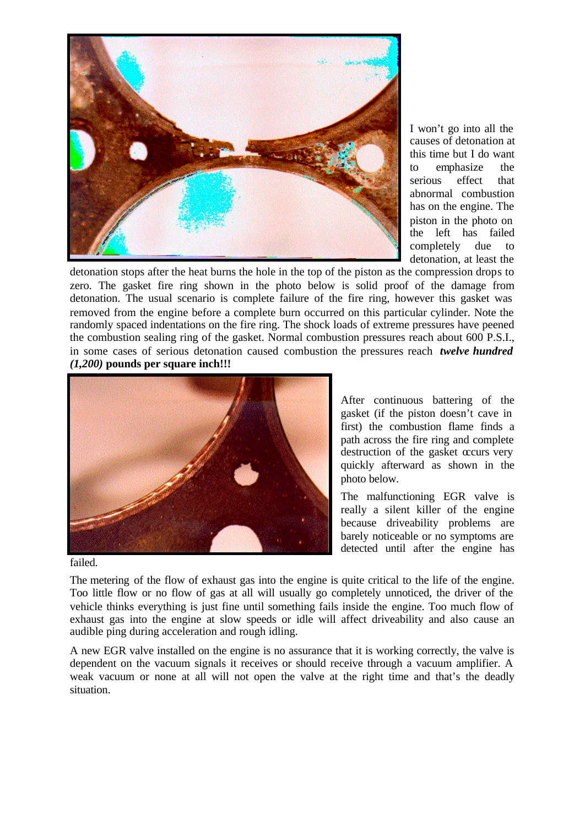

I won't go into all the causes of detonation at this time but I do want to emphasize the serious effect that abnormal combustion has on the engine. The piston in the photo on the left has failed completely due to detonation, at least the

detonation stops after the heat burns the hole in the top of the piston as the compression drops to zero. The gasket fire ring shown in the photo below is solid proof of the damage from detonation. The usual scenario is complete failure of the fire ring, however this gasket was removed from the engine before a complete burn occurred on this particular cylinder. Note the randomly spaced indentations on the fire ring. The shock loads of extreme pressures have peened the combustion sealing ring of the gasket. Normal combustion pressures reach about 600 P.S.I., in some cases of serious detonation caused combustion the pressures reach *twelve hundred (1,200)* **pounds per square inch!!!**



After continuous battering of the gasket (if the piston doesn't cave in first) the combustion flame finds a path across the fire ring and complete destruction of the gasket occurs very quickly afterward as shown in the photo below.

The malfunctioning EGR valve is really a silent killer of the engine because driveability problems are barely noticeable or no symptoms are detected until after the engine has

failed.

The metering of the flow of exhaust gas into the engine is quite critical to the life of the engine. Too little flow or no flow of gas at all will usually go completely unnoticed, the driver of the vehicle thinks everything is just fine until something fails inside the engine. Too much flow of exhaust gas into the engine at slow speeds or idle will affect driveability and also cause an audible ping during acceleration and rough idling.

A new EGR valve installed on the engine is no assurance that it is working correctly, the valve is dependent on the vacuum signals it receives or should receive through a vacuum amplifier. A weak vacuum or none at all will not open the valve at the right time and that's the deadly situation.